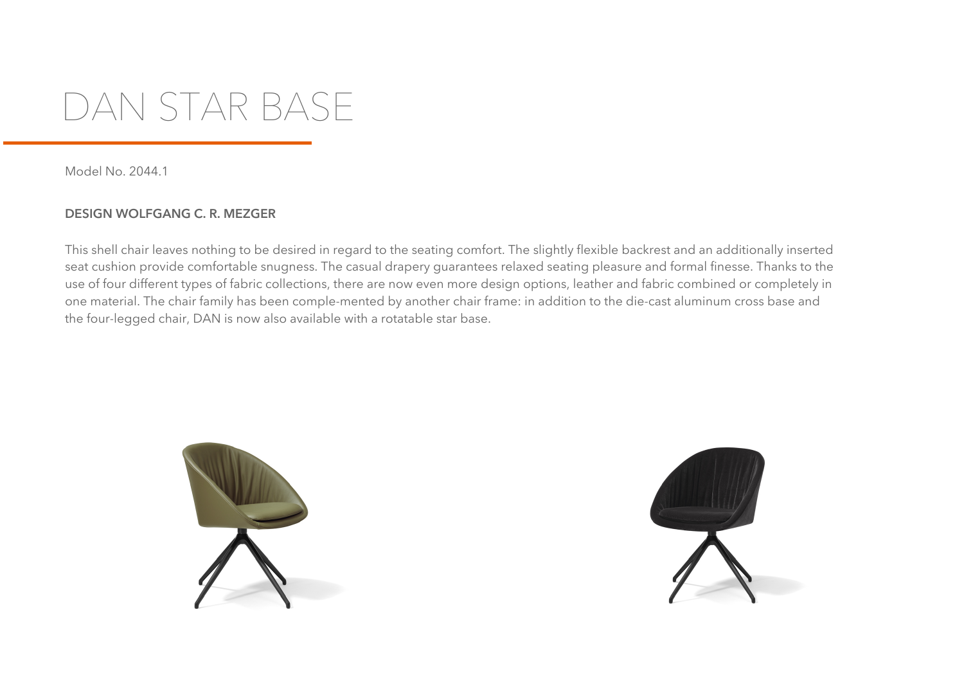## **DAN STAR BASE**

Model No. 2044.1

## **DESIGN WOLFGANG C. R. MEZGER**

This shell chair leaves nothing to be desired in regard to the seating comfort. The slightly flexible backrest and an additionally inserted seat cushion provide comfortable snugness. The casual drapery guarantees relaxed seating pleasure and formal finesse. Thanks to the use of four different types of fabric collections, there are now even more design options, leather and fabric combined or completely in one material. The chair family has been comple-mented by another chair frame: in addition to the die-cast aluminum cross base and the four-legged chair, DAN is now also available with a rotatable star base.